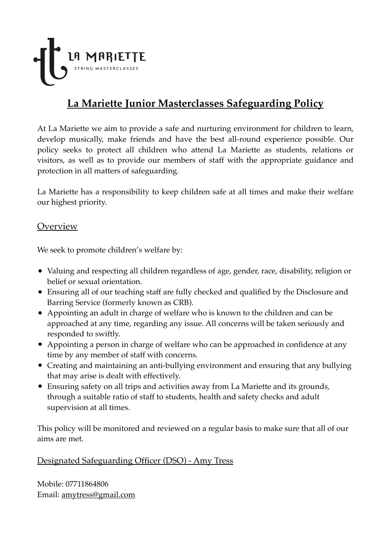

# **La Mariette Junior Masterclasses Safeguarding Policy**

At La Mariette we aim to provide a safe and nurturing environment for children to learn, develop musically, make friends and have the best all-round experience possible. Our policy seeks to protect all children who attend La Mariette as students, relations or visitors, as well as to provide our members of staff with the appropriate guidance and protection in all matters of safeguarding.

La Mariette has a responsibility to keep children safe at all times and make their welfare our highest priority.

#### Overview

We seek to promote children's welfare by:

- Valuing and respecting all children regardless of age, gender, race, disability, religion or belief or sexual orientation.
- Ensuring all of our teaching staff are fully checked and qualified by the Disclosure and Barring Service (formerly known as CRB).
- Appointing an adult in charge of welfare who is known to the children and can be approached at any time, regarding any issue. All concerns will be taken seriously and responded to swiftly.
- Appointing a person in charge of welfare who can be approached in confidence at any time by any member of staff with concerns.
- Creating and maintaining an anti-bullying environment and ensuring that any bullying that may arise is dealt with effectively.
- Ensuring safety on all trips and activities away from La Mariette and its grounds, through a suitable ratio of staff to students, health and safety checks and adult supervision at all times.

This policy will be monitored and reviewed on a regular basis to make sure that all of our aims are met.

#### Designated Safeguarding Officer (DSO) - Amy Tress

Mobile: 07711864806 Email: [amytress@gmail.com](mailto:amytress@gmail.com)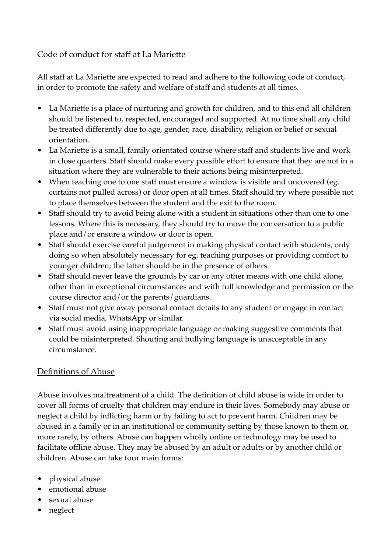#### Code of conduct for staff at La Mariette

All staff at La Mariette are expected to read and adhere to the following code of conduct, in order to promote the safety and welfare of staff and students at all times.

- La Mariette is a place of nurturing and growth for children, and to this end all children should be listened to, respected, encouraged and supported. At no time shall any child be treated differently due to age, gender, race, disability, religion or belief or sexual orientation.
- La Mariette is a small, family orientated course where staff and students live and work in close quarters. Staff should make every possible effort to ensure that they are not in a situation where they are vulnerable to their actions being misinterpreted.
- When teaching one to one staff must ensure a window is visible and uncovered (eg. curtains not pulled across) or door open at all times. Staff should try where possible not to place themselves between the student and the exit to the room.
- Staff should try to avoid being alone with a student in situations other than one to one lessons. Where this is necessary, they should try to move the conversation to a public place and/or ensure a window or door is open.
- Staff should exercise careful judgement in making physical contact with students, only doing so when absolutely necessary for eg. teaching purposes or providing comfort to younger children; the latter should be in the presence of others.
- Staff should never leave the grounds by car or any other means with one child alone, other than in exceptional circumstances and with full knowledge and permission or the course director and/or the parents/guardians.
- Staff must not give away personal contact details to any student or engage in contact via social media, WhatsApp or similar.
- Staff must avoid using inappropriate language or making suggestive comments that could be misinterpreted. Shouting and bullying language is unacceptable in any circumstance.

## Definitions of Abuse

Abuse involves maltreatment of a child. The definition of child abuse is wide in order to cover all forms of cruelty that children may endure in their lives. Somebody may abuse or neglect a child by inflicting harm or by failing to act to prevent harm. Children may be abused in a family or in an institutional or community setting by those known to them or, more rarely, by others. Abuse can happen wholly online or technology may be used to facilitate offline abuse. They may be abused by an adult or adults or by another child or children. Abuse can take four main forms:

- physical abuse
- emotional abuse
- sexual abuse
- neglect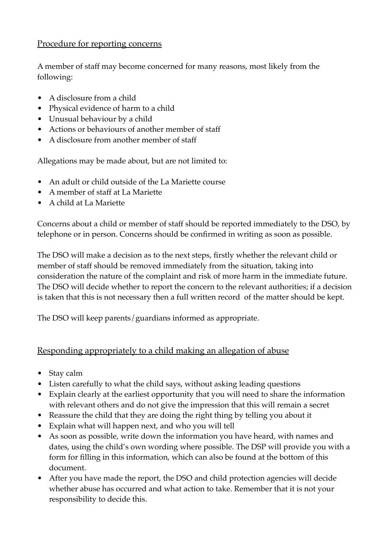#### Procedure for reporting concerns

A member of staff may become concerned for many reasons, most likely from the following:

- A disclosure from a child
- Physical evidence of harm to a child
- Unusual behaviour by a child
- Actions or behaviours of another member of staff
- A disclosure from another member of staff

Allegations may be made about, but are not limited to:

- An adult or child outside of the La Mariette course
- A member of staff at La Mariette
- A child at La Mariette

Concerns about a child or member of staff should be reported immediately to the DSO, by telephone or in person. Concerns should be confirmed in writing as soon as possible.

The DSO will make a decision as to the next steps, firstly whether the relevant child or member of staff should be removed immediately from the situation, taking into consideration the nature of the complaint and risk of more harm in the immediate future. The DSO will decide whether to report the concern to the relevant authorities; if a decision is taken that this is not necessary then a full written record of the matter should be kept.

The DSO will keep parents/guardians informed as appropriate.

## Responding appropriately to a child making an allegation of abuse

- Stay calm
- Listen carefully to what the child says, without asking leading questions
- Explain clearly at the earliest opportunity that you will need to share the information with relevant others and do not give the impression that this will remain a secret
- Reassure the child that they are doing the right thing by telling you about it
- Explain what will happen next, and who you will tell
- As soon as possible, write down the information you have heard, with names and dates, using the child's own wording where possible. The DSP will provide you with a form for filling in this information, which can also be found at the bottom of this document.
- After you have made the report, the DSO and child protection agencies will decide whether abuse has occurred and what action to take. Remember that it is not your responsibility to decide this.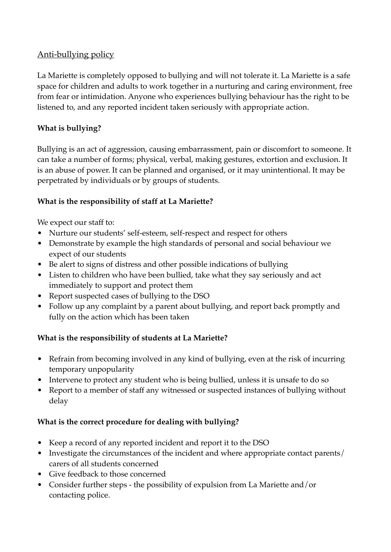#### Anti-bullying policy

La Mariette is completely opposed to bullying and will not tolerate it. La Mariette is a safe space for children and adults to work together in a nurturing and caring environment, free from fear or intimidation. Anyone who experiences bullying behaviour has the right to be listened to, and any reported incident taken seriously with appropriate action.

#### **What is bullying?**

Bullying is an act of aggression, causing embarrassment, pain or discomfort to someone. It can take a number of forms; physical, verbal, making gestures, extortion and exclusion. It is an abuse of power. It can be planned and organised, or it may unintentional. It may be perpetrated by individuals or by groups of students.

#### **What is the responsibility of staff at La Mariette?**

We expect our staff to:

- Nurture our students' self-esteem, self-respect and respect for others
- Demonstrate by example the high standards of personal and social behaviour we expect of our students
- Be alert to signs of distress and other possible indications of bullying
- Listen to children who have been bullied, take what they say seriously and act immediately to support and protect them
- Report suspected cases of bullying to the DSO
- Follow up any complaint by a parent about bullying, and report back promptly and fully on the action which has been taken

#### **What is the responsibility of students at La Mariette?**

- Refrain from becoming involved in any kind of bullying, even at the risk of incurring temporary unpopularity
- Intervene to protect any student who is being bullied, unless it is unsafe to do so
- Report to a member of staff any witnessed or suspected instances of bullying without delay

## **What is the correct procedure for dealing with bullying?**

- Keep a record of any reported incident and report it to the DSO
- Investigate the circumstances of the incident and where appropriate contact parents/ carers of all students concerned
- Give feedback to those concerned
- Consider further steps the possibility of expulsion from La Mariette and/or contacting police.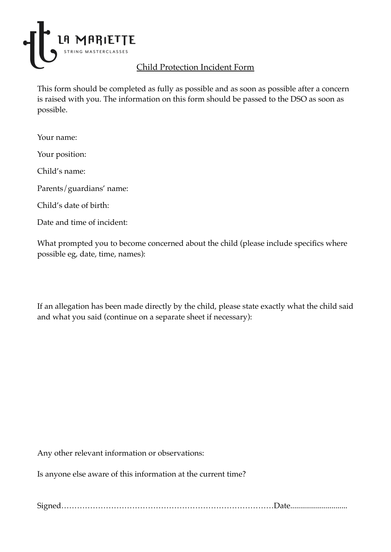

# Child Protection Incident Form

This form should be completed as fully as possible and as soon as possible after a concern is raised with you. The information on this form should be passed to the DSO as soon as possible.

Your name:

Your position:

Child's name:

Parents/guardians' name:

Child's date of birth:

Date and time of incident:

What prompted you to become concerned about the child (please include specifics where possible eg, date, time, names):

If an allegation has been made directly by the child, please state exactly what the child said and what you said (continue on a separate sheet if necessary):

Any other relevant information or observations:

Is anyone else aware of this information at the current time?

Signed………………………………………………………………………Date.............................